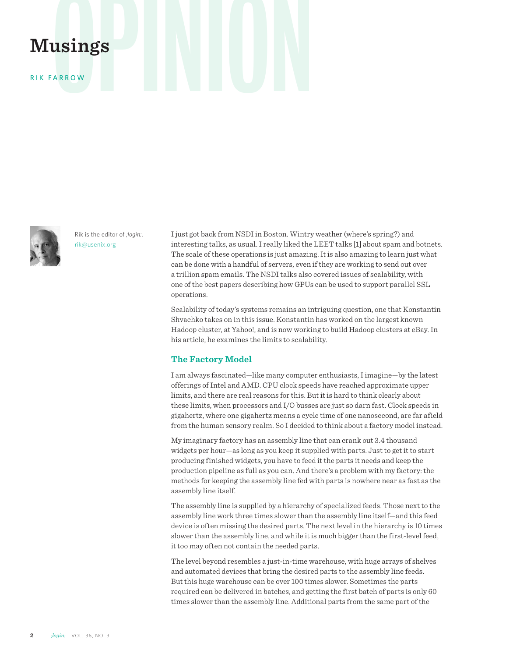# **Musings**

RIK FARROW



Rik is the editor of *;login:*. rik@usenix.org

I just got back from NSDI in Boston. Wintry weather (where's spring?) and interesting talks, as usual. I really liked the LEET talks [1] about spam and botnets. The scale of these operations is just amazing. It is also amazing to learn just what can be done with a handful of servers, even if they are working to send out over a trillion spam emails. The NSDI talks also covered issues of scalability, with one of the best papers describing how GPUs can be used to support parallel SSL operations.

Scalability of today's systems remains an intriguing question, one that Konstantin Shvachko takes on in this issue. Konstantin has worked on the largest known Hadoop cluster, at Yahoo!, and is now working to build Hadoop clusters at eBay. In his article, he examines the limits to scalability.

# **The Factory Model**

I am always fascinated—like many computer enthusiasts, I imagine—by the latest offerings of Intel and AMD. CPU clock speeds have reached approximate upper limits, and there are real reasons for this. But it is hard to think clearly about these limits, when processors and I/O busses are just so darn fast. Clock speeds in gigahertz, where one gigahertz means a cycle time of one nanosecond, are far afield from the human sensory realm. So I decided to think about a factory model instead.

My imaginary factory has an assembly line that can crank out 3.4 thousand widgets per hour—as long as you keep it supplied with parts. Just to get it to start producing finished widgets, you have to feed it the parts it needs and keep the production pipeline as full as you can. And there's a problem with my factory: the methods for keeping the assembly line fed with parts is nowhere near as fast as the assembly line itself.

The assembly line is supplied by a hierarchy of specialized feeds. Those next to the assembly line work three times slower than the assembly line itself—and this feed device is often missing the desired parts. The next level in the hierarchy is 10 times slower than the assembly line, and while it is much bigger than the first-level feed, it too may often not contain the needed parts.

The level beyond resembles a just-in-time warehouse, with huge arrays of shelves and automated devices that bring the desired parts to the assembly line feeds. But this huge warehouse can be over 100 times slower. Sometimes the parts required can be delivered in batches, and getting the first batch of parts is only 60 times slower than the assembly line. Additional parts from the same part of the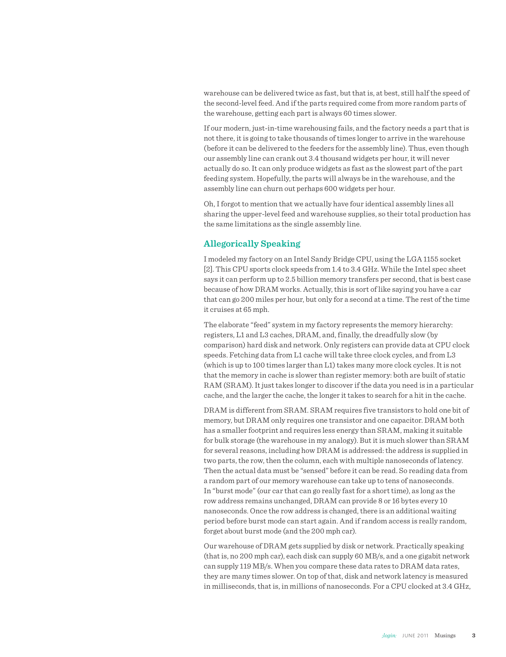warehouse can be delivered twice as fast, but that is, at best, still half the speed of the second-level feed. And if the parts required come from more random parts of the warehouse, getting each part is always 60 times slower.

If our modern, just-in-time warehousing fails, and the factory needs a part that is not there, it is going to take thousands of times longer to arrive in the warehouse (before it can be delivered to the feeders for the assembly line). Thus, even though our assembly line can crank out 3.4 thousand widgets per hour, it will never actually do so. It can only produce widgets as fast as the slowest part of the part feeding system. Hopefully, the parts will always be in the warehouse, and the assembly line can churn out perhaps 600 widgets per hour.

Oh, I forgot to mention that we actually have four identical assembly lines all sharing the upper-level feed and warehouse supplies, so their total production has the same limitations as the single assembly line.

# **Allegorically Speaking**

I modeled my factory on an Intel Sandy Bridge CPU, using the LGA 1155 socket [2]. This CPU sports clock speeds from 1.4 to 3.4 GHz. While the Intel spec sheet says it can perform up to 2.5 billion memory transfers per second, that is best case because of how DRAM works. Actually, this is sort of like saying you have a car that can go 200 miles per hour, but only for a second at a time. The rest of the time it cruises at 65 mph.

The elaborate "feed" system in my factory represents the memory hierarchy: registers, L1 and L3 caches, DRAM, and, finally, the dreadfully slow (by comparison) hard disk and network. Only registers can provide data at CPU clock speeds. Fetching data from L1 cache will take three clock cycles, and from L3 (which is up to 100 times larger than L1) takes many more clock cycles. It is not that the memory in cache is slower than register memory: both are built of static RAM (SRAM). It just takes longer to discover if the data you need is in a particular cache, and the larger the cache, the longer it takes to search for a hit in the cache.

DRAM is different from SRAM. SRAM requires five transistors to hold one bit of memory, but DRAM only requires one transistor and one capacitor. DRAM both has a smaller footprint and requires less energy than SRAM, making it suitable for bulk storage (the warehouse in my analogy). But it is much slower than SRAM for several reasons, including how DRAM is addressed: the address is supplied in two parts, the row, then the column, each with multiple nanoseconds of latency. Then the actual data must be "sensed" before it can be read. So reading data from a random part of our memory warehouse can take up to tens of nanoseconds. In "burst mode" (our car that can go really fast for a short time), as long as the row address remains unchanged, DRAM can provide 8 or 16 bytes every 10 nanoseconds. Once the row address is changed, there is an additional waiting period before burst mode can start again. And if random access is really random, forget about burst mode (and the 200 mph car).

Our warehouse of DRAM gets supplied by disk or network. Practically speaking (that is, no 200 mph car), each disk can supply 60 MB/s, and a one gigabit network can supply 119 MB/s. When you compare these data rates to DRAM data rates, they are many times slower. On top of that, disk and network latency is measured in milliseconds, that is, in millions of nanoseconds. For a CPU clocked at 3.4 GHz,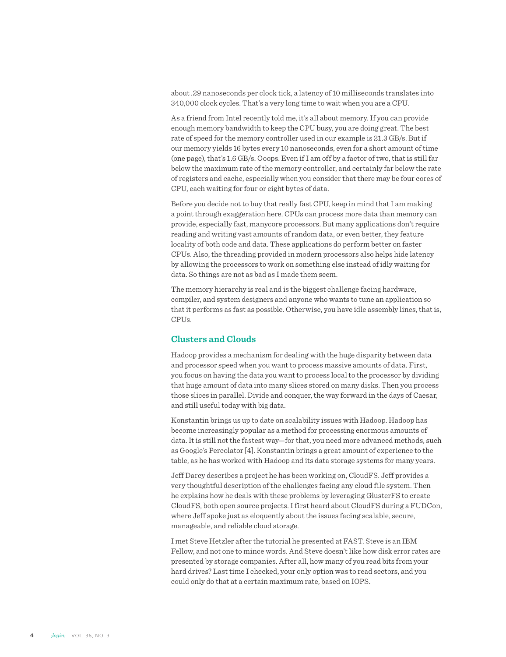about .29 nanoseconds per clock tick, a latency of 10 milliseconds translates into 340,000 clock cycles. That's a very long time to wait when you are a CPU.

As a friend from Intel recently told me, it's all about memory. If you can provide enough memory bandwidth to keep the CPU busy, you are doing great. The best rate of speed for the memory controller used in our example is 21.3 GB/s. But if our memory yields 16 bytes every 10 nanoseconds, even for a short amount of time (one page), that's 1.6 GB/s. Ooops. Even if I am off by a factor of two, that is still far below the maximum rate of the memory controller, and certainly far below the rate of registers and cache, especially when you consider that there may be four cores of CPU, each waiting for four or eight bytes of data.

Before you decide not to buy that really fast CPU, keep in mind that I am making a point through exaggeration here. CPUs can process more data than memory can provide, especially fast, manycore processors. But many applications don't require reading and writing vast amounts of random data, or even better, they feature locality of both code and data. These applications do perform better on faster CPUs. Also, the threading provided in modern processors also helps hide latency by allowing the processors to work on something else instead of idly waiting for data. So things are not as bad as I made them seem.

The memory hierarchy is real and is the biggest challenge facing hardware, compiler, and system designers and anyone who wants to tune an application so that it performs as fast as possible. Otherwise, you have idle assembly lines, that is, CPUs.

# **Clusters and Clouds**

Hadoop provides a mechanism for dealing with the huge disparity between data and processor speed when you want to process massive amounts of data. First, you focus on having the data you want to process local to the processor by dividing that huge amount of data into many slices stored on many disks. Then you process those slices in parallel. Divide and conquer, the way forward in the days of Caesar, and still useful today with big data.

Konstantin brings us up to date on scalability issues with Hadoop. Hadoop has become increasingly popular as a method for processing enormous amounts of data. It is still not the fastest way—for that, you need more advanced methods, such as Google's Percolator [4]. Konstantin brings a great amount of experience to the table, as he has worked with Hadoop and its data storage systems for many years.

Jeff Darcy describes a project he has been working on, CloudFS. Jeff provides a very thoughtful description of the challenges facing any cloud file system. Then he explains how he deals with these problems by leveraging GlusterFS to create CloudFS, both open source projects. I first heard about CloudFS during a FUDCon, where Jeff spoke just as eloquently about the issues facing scalable, secure, manageable, and reliable cloud storage.

I met Steve Hetzler after the tutorial he presented at FAST. Steve is an IBM Fellow, and not one to mince words. And Steve doesn't like how disk error rates are presented by storage companies. After all, how many of you read bits from your hard drives? Last time I checked, your only option was to read sectors, and you could only do that at a certain maximum rate, based on IOPS.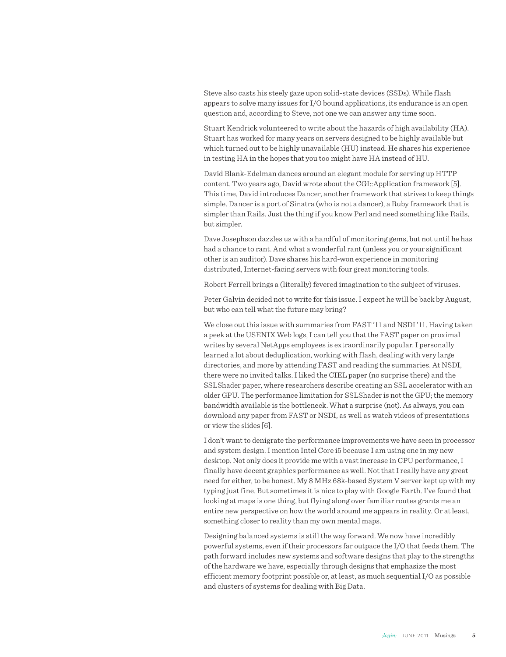Steve also casts his steely gaze upon solid-state devices (SSDs). While flash appears to solve many issues for I/O bound applications, its endurance is an open question and, according to Steve, not one we can answer any time soon.

Stuart Kendrick volunteered to write about the hazards of high availability (HA). Stuart has worked for many years on servers designed to be highly available but which turned out to be highly unavailable (HU) instead. He shares his experience in testing HA in the hopes that you too might have HA instead of HU.

David Blank-Edelman dances around an elegant module for serving up HTTP content. Two years ago, David wrote about the CGI::Application framework [5]. This time, David introduces Dancer, another framework that strives to keep things simple. Dancer is a port of Sinatra (who is not a dancer), a Ruby framework that is simpler than Rails. Just the thing if you know Perl and need something like Rails, but simpler.

Dave Josephson dazzles us with a handful of monitoring gems, but not until he has had a chance to rant. And what a wonderful rant (unless you or your significant other is an auditor). Dave shares his hard-won experience in monitoring distributed, Internet-facing servers with four great monitoring tools.

Robert Ferrell brings a (literally) fevered imagination to the subject of viruses.

Peter Galvin decided not to write for this issue. I expect he will be back by August, but who can tell what the future may bring?

We close out this issue with summaries from FAST '11 and NSDI '11. Having taken a peek at the USENIX Web logs, I can tell you that the FAST paper on proximal writes by several NetApps employees is extraordinarily popular. I personally learned a lot about deduplication, working with flash, dealing with very large directories, and more by attending FAST and reading the summaries. At NSDI, there were no invited talks. I liked the CIEL paper (no surprise there) and the SSLShader paper, where researchers describe creating an SSL accelerator with an older GPU. The performance limitation for SSLShader is not the GPU; the memory bandwidth available is the bottleneck. What a surprise (not). As always, you can download any paper from FAST or NSDI, as well as watch videos of presentations or view the slides [6].

I don't want to denigrate the performance improvements we have seen in processor and system design. I mention Intel Core i5 because I am using one in my new desktop. Not only does it provide me with a vast increase in CPU performance, I finally have decent graphics performance as well. Not that I really have any great need for either, to be honest. My 8 MHz 68k-based System V server kept up with my typing just fine. But sometimes it is nice to play with Google Earth. I've found that looking at maps is one thing, but flying along over familiar routes grants me an entire new perspective on how the world around me appears in reality. Or at least, something closer to reality than my own mental maps.

Designing balanced systems is still the way forward. We now have incredibly powerful systems, even if their processors far outpace the I/O that feeds them. The path forward includes new systems and software designs that play to the strengths of the hardware we have, especially through designs that emphasize the most efficient memory footprint possible or, at least, as much sequential I/O as possible and clusters of systems for dealing with Big Data.